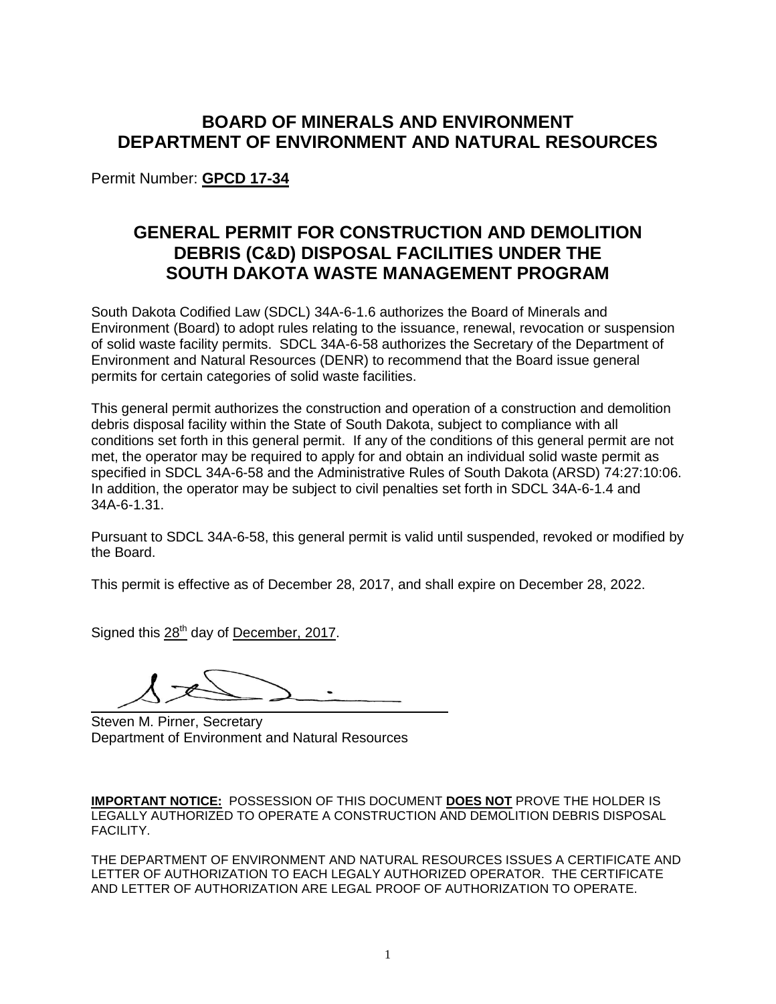# **BOARD OF MINERALS AND ENVIRONMENT DEPARTMENT OF ENVIRONMENT AND NATURAL RESOURCES**

Permit Number: **GPCD 17-34**

# **GENERAL PERMIT FOR CONSTRUCTION AND DEMOLITION DEBRIS (C&D) DISPOSAL FACILITIES UNDER THE SOUTH DAKOTA WASTE MANAGEMENT PROGRAM**

South Dakota Codified Law (SDCL) 34A-6-1.6 authorizes the Board of Minerals and Environment (Board) to adopt rules relating to the issuance, renewal, revocation or suspension of solid waste facility permits. SDCL 34A-6-58 authorizes the Secretary of the Department of Environment and Natural Resources (DENR) to recommend that the Board issue general permits for certain categories of solid waste facilities.

This general permit authorizes the construction and operation of a construction and demolition debris disposal facility within the State of South Dakota, subject to compliance with all conditions set forth in this general permit. If any of the conditions of this general permit are not met, the operator may be required to apply for and obtain an individual solid waste permit as specified in SDCL 34A-6-58 and the Administrative Rules of South Dakota (ARSD) 74:27:10:06. In addition, the operator may be subject to civil penalties set forth in SDCL 34A-6-1.4 and 34A-6-1.31.

Pursuant to SDCL 34A-6-58, this general permit is valid until suspended, revoked or modified by the Board.

This permit is effective as of December 28, 2017, and shall expire on December 28, 2022.

Signed this 28<sup>th</sup> day of December, 2017.

Steven M. Pirner, Secretary Department of Environment and Natural Resources

**IMPORTANT NOTICE:** POSSESSION OF THIS DOCUMENT **DOES NOT** PROVE THE HOLDER IS LEGALLY AUTHORIZED TO OPERATE A CONSTRUCTION AND DEMOLITION DEBRIS DISPOSAL FACILITY.

THE DEPARTMENT OF ENVIRONMENT AND NATURAL RESOURCES ISSUES A CERTIFICATE AND LETTER OF AUTHORIZATION TO EACH LEGALY AUTHORIZED OPERATOR. THE CERTIFICATE AND LETTER OF AUTHORIZATION ARE LEGAL PROOF OF AUTHORIZATION TO OPERATE.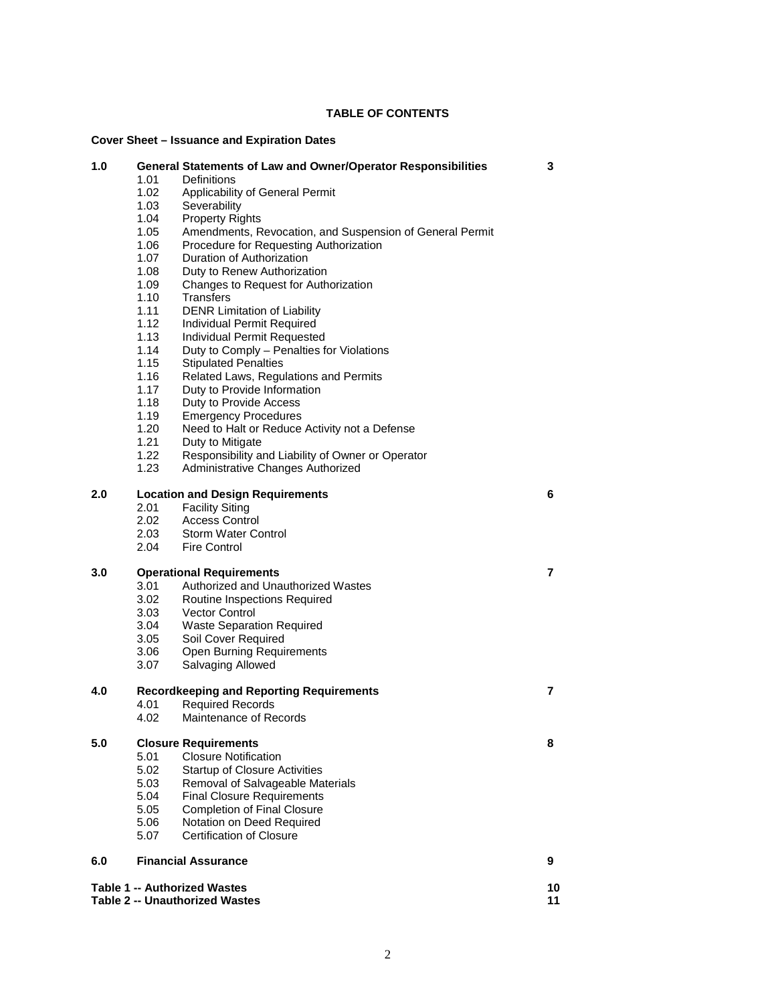# **TABLE OF CONTENTS**

# **Cover Sheet – Issuance and Expiration Dates**

| 1.0                                               | 1.01<br>1.02<br>1.03<br>1.04<br>1.05<br>1.06<br>1.07<br>1.08<br>1.09<br>1.10<br>1.11<br>1.12<br>1.13<br>1.14<br>1.15<br>1.16<br>1.17<br>1.18 | <b>General Statements of Law and Owner/Operator Responsibilities</b><br>Definitions<br>Applicability of General Permit<br>Severability<br><b>Property Rights</b><br>Amendments, Revocation, and Suspension of General Permit<br>Procedure for Requesting Authorization<br>Duration of Authorization<br>Duty to Renew Authorization<br>Changes to Request for Authorization<br>Transfers<br><b>DENR Limitation of Liability</b><br>Individual Permit Required<br>Individual Permit Requested<br>Duty to Comply - Penalties for Violations<br><b>Stipulated Penalties</b><br>Related Laws, Regulations and Permits<br>Duty to Provide Information<br>Duty to Provide Access | 3              |  |
|---------------------------------------------------|----------------------------------------------------------------------------------------------------------------------------------------------|---------------------------------------------------------------------------------------------------------------------------------------------------------------------------------------------------------------------------------------------------------------------------------------------------------------------------------------------------------------------------------------------------------------------------------------------------------------------------------------------------------------------------------------------------------------------------------------------------------------------------------------------------------------------------|----------------|--|
|                                                   | 1.19<br>1.20                                                                                                                                 | <b>Emergency Procedures</b><br>Need to Halt or Reduce Activity not a Defense                                                                                                                                                                                                                                                                                                                                                                                                                                                                                                                                                                                              |                |  |
|                                                   | 1.21                                                                                                                                         | Duty to Mitigate                                                                                                                                                                                                                                                                                                                                                                                                                                                                                                                                                                                                                                                          |                |  |
|                                                   | 1.22                                                                                                                                         | Responsibility and Liability of Owner or Operator                                                                                                                                                                                                                                                                                                                                                                                                                                                                                                                                                                                                                         |                |  |
|                                                   | 1.23                                                                                                                                         | Administrative Changes Authorized                                                                                                                                                                                                                                                                                                                                                                                                                                                                                                                                                                                                                                         |                |  |
| 2.0                                               |                                                                                                                                              | <b>Location and Design Requirements</b>                                                                                                                                                                                                                                                                                                                                                                                                                                                                                                                                                                                                                                   | 6              |  |
|                                                   | 2.01                                                                                                                                         | <b>Facility Siting</b>                                                                                                                                                                                                                                                                                                                                                                                                                                                                                                                                                                                                                                                    |                |  |
|                                                   | 2.02                                                                                                                                         | <b>Access Control</b>                                                                                                                                                                                                                                                                                                                                                                                                                                                                                                                                                                                                                                                     |                |  |
|                                                   | 2.03                                                                                                                                         | Storm Water Control                                                                                                                                                                                                                                                                                                                                                                                                                                                                                                                                                                                                                                                       |                |  |
|                                                   | 2.04                                                                                                                                         | <b>Fire Control</b>                                                                                                                                                                                                                                                                                                                                                                                                                                                                                                                                                                                                                                                       |                |  |
| 3.0                                               | <b>Operational Requirements</b>                                                                                                              |                                                                                                                                                                                                                                                                                                                                                                                                                                                                                                                                                                                                                                                                           | $\overline{7}$ |  |
|                                                   | 3.01                                                                                                                                         | Authorized and Unauthorized Wastes                                                                                                                                                                                                                                                                                                                                                                                                                                                                                                                                                                                                                                        |                |  |
|                                                   | 3.02                                                                                                                                         | Routine Inspections Required                                                                                                                                                                                                                                                                                                                                                                                                                                                                                                                                                                                                                                              |                |  |
|                                                   | 3.03                                                                                                                                         | <b>Vector Control</b>                                                                                                                                                                                                                                                                                                                                                                                                                                                                                                                                                                                                                                                     |                |  |
|                                                   | 3.04                                                                                                                                         | <b>Waste Separation Required</b>                                                                                                                                                                                                                                                                                                                                                                                                                                                                                                                                                                                                                                          |                |  |
|                                                   | 3.05                                                                                                                                         | Soil Cover Required                                                                                                                                                                                                                                                                                                                                                                                                                                                                                                                                                                                                                                                       |                |  |
|                                                   | 3.06                                                                                                                                         | Open Burning Requirements                                                                                                                                                                                                                                                                                                                                                                                                                                                                                                                                                                                                                                                 |                |  |
|                                                   | 3.07                                                                                                                                         | Salvaging Allowed                                                                                                                                                                                                                                                                                                                                                                                                                                                                                                                                                                                                                                                         |                |  |
| 4.0                                               | $\overline{7}$<br><b>Recordkeeping and Reporting Requirements</b>                                                                            |                                                                                                                                                                                                                                                                                                                                                                                                                                                                                                                                                                                                                                                                           |                |  |
|                                                   | 4.01                                                                                                                                         | <b>Required Records</b>                                                                                                                                                                                                                                                                                                                                                                                                                                                                                                                                                                                                                                                   |                |  |
|                                                   | 4.02                                                                                                                                         | Maintenance of Records                                                                                                                                                                                                                                                                                                                                                                                                                                                                                                                                                                                                                                                    |                |  |
| 5.0                                               | <b>Closure Requirements</b>                                                                                                                  |                                                                                                                                                                                                                                                                                                                                                                                                                                                                                                                                                                                                                                                                           | 8              |  |
|                                                   | 5.01                                                                                                                                         | <b>Closure Notification</b>                                                                                                                                                                                                                                                                                                                                                                                                                                                                                                                                                                                                                                               |                |  |
|                                                   | 5.02                                                                                                                                         | <b>Startup of Closure Activities</b>                                                                                                                                                                                                                                                                                                                                                                                                                                                                                                                                                                                                                                      |                |  |
|                                                   | 5.03                                                                                                                                         | Removal of Salvageable Materials                                                                                                                                                                                                                                                                                                                                                                                                                                                                                                                                                                                                                                          |                |  |
|                                                   | 5.04                                                                                                                                         | <b>Final Closure Requirements</b>                                                                                                                                                                                                                                                                                                                                                                                                                                                                                                                                                                                                                                         |                |  |
|                                                   | 5.05                                                                                                                                         | <b>Completion of Final Closure</b>                                                                                                                                                                                                                                                                                                                                                                                                                                                                                                                                                                                                                                        |                |  |
|                                                   | 5.06                                                                                                                                         | Notation on Deed Required                                                                                                                                                                                                                                                                                                                                                                                                                                                                                                                                                                                                                                                 |                |  |
|                                                   | 5.07                                                                                                                                         | <b>Certification of Closure</b>                                                                                                                                                                                                                                                                                                                                                                                                                                                                                                                                                                                                                                           |                |  |
| 6.0                                               |                                                                                                                                              | <b>Financial Assurance</b>                                                                                                                                                                                                                                                                                                                                                                                                                                                                                                                                                                                                                                                | 9              |  |
| Table 1 -- Authorized Wastes                      |                                                                                                                                              |                                                                                                                                                                                                                                                                                                                                                                                                                                                                                                                                                                                                                                                                           |                |  |
| 10<br><b>Table 2 -- Unauthorized Wastes</b><br>11 |                                                                                                                                              |                                                                                                                                                                                                                                                                                                                                                                                                                                                                                                                                                                                                                                                                           |                |  |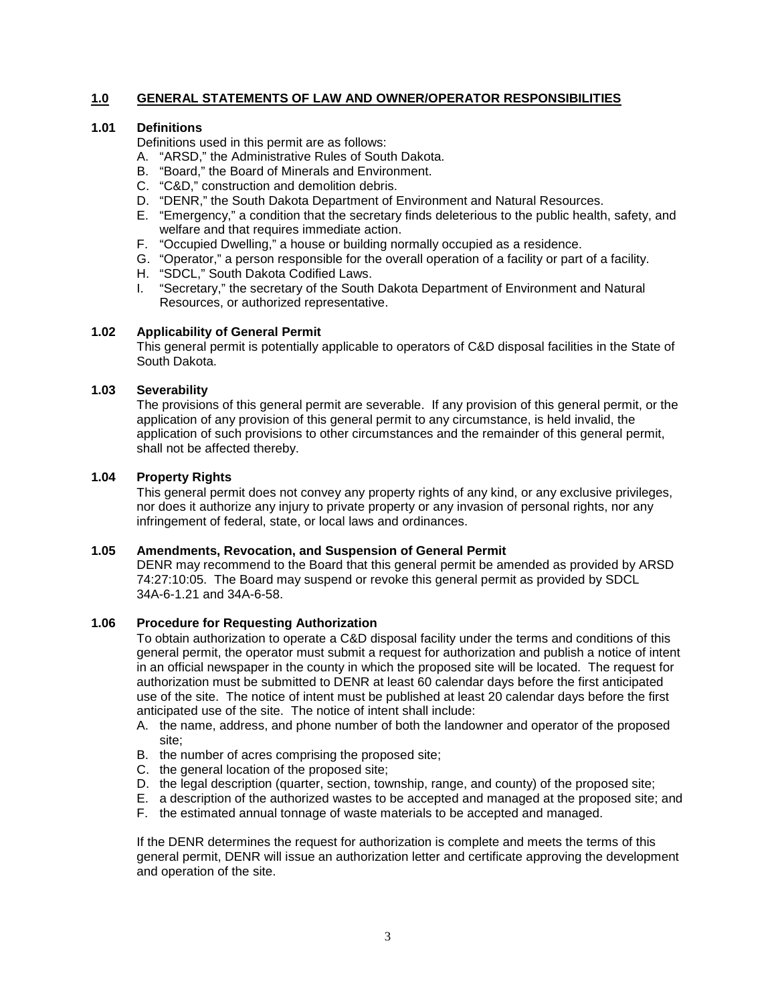## **1.0 GENERAL STATEMENTS OF LAW AND OWNER/OPERATOR RESPONSIBILITIES**

#### **1.01 Definitions**

Definitions used in this permit are as follows:

- A. "ARSD," the Administrative Rules of South Dakota.
- B. "Board," the Board of Minerals and Environment.
- C. "C&D," construction and demolition debris.
- D. "DENR," the South Dakota Department of Environment and Natural Resources.
- E. "Emergency," a condition that the secretary finds deleterious to the public health, safety, and welfare and that requires immediate action.
- F. "Occupied Dwelling," a house or building normally occupied as a residence.
- G. "Operator," a person responsible for the overall operation of a facility or part of a facility.
- H. "SDCL," South Dakota Codified Laws.
- I. "Secretary," the secretary of the South Dakota Department of Environment and Natural Resources, or authorized representative.

#### **1.02 Applicability of General Permit**

This general permit is potentially applicable to operators of C&D disposal facilities in the State of South Dakota.

#### **1.03 Severability**

The provisions of this general permit are severable. If any provision of this general permit, or the application of any provision of this general permit to any circumstance, is held invalid, the application of such provisions to other circumstances and the remainder of this general permit, shall not be affected thereby.

## **1.04 Property Rights**

This general permit does not convey any property rights of any kind, or any exclusive privileges, nor does it authorize any injury to private property or any invasion of personal rights, nor any infringement of federal, state, or local laws and ordinances.

## **1.05 Amendments, Revocation, and Suspension of General Permit**

DENR may recommend to the Board that this general permit be amended as provided by ARSD 74:27:10:05. The Board may suspend or revoke this general permit as provided by SDCL 34A-6-1.21 and 34A-6-58.

#### **1.06 Procedure for Requesting Authorization**

To obtain authorization to operate a C&D disposal facility under the terms and conditions of this general permit, the operator must submit a request for authorization and publish a notice of intent in an official newspaper in the county in which the proposed site will be located. The request for authorization must be submitted to DENR at least 60 calendar days before the first anticipated use of the site. The notice of intent must be published at least 20 calendar days before the first anticipated use of the site. The notice of intent shall include:

- A. the name, address, and phone number of both the landowner and operator of the proposed site;
- B. the number of acres comprising the proposed site;
- C. the general location of the proposed site;
- D. the legal description (quarter, section, township, range, and county) of the proposed site;
- E. a description of the authorized wastes to be accepted and managed at the proposed site; and
- F. the estimated annual tonnage of waste materials to be accepted and managed.

If the DENR determines the request for authorization is complete and meets the terms of this general permit, DENR will issue an authorization letter and certificate approving the development and operation of the site.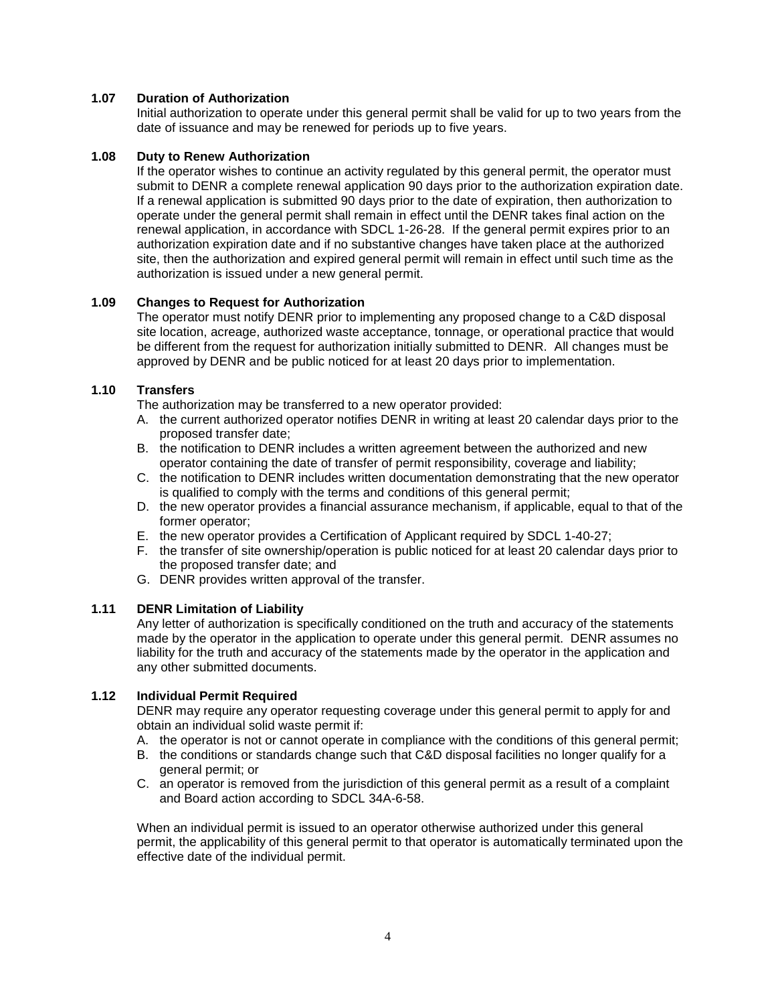## **1.07 Duration of Authorization**

Initial authorization to operate under this general permit shall be valid for up to two years from the date of issuance and may be renewed for periods up to five years.

## **1.08 Duty to Renew Authorization**

If the operator wishes to continue an activity regulated by this general permit, the operator must submit to DENR a complete renewal application 90 days prior to the authorization expiration date. If a renewal application is submitted 90 days prior to the date of expiration, then authorization to operate under the general permit shall remain in effect until the DENR takes final action on the renewal application, in accordance with SDCL 1-26-28. If the general permit expires prior to an authorization expiration date and if no substantive changes have taken place at the authorized site, then the authorization and expired general permit will remain in effect until such time as the authorization is issued under a new general permit.

## **1.09 Changes to Request for Authorization**

The operator must notify DENR prior to implementing any proposed change to a C&D disposal site location, acreage, authorized waste acceptance, tonnage, or operational practice that would be different from the request for authorization initially submitted to DENR. All changes must be approved by DENR and be public noticed for at least 20 days prior to implementation.

## **1.10 Transfers**

The authorization may be transferred to a new operator provided:

- A. the current authorized operator notifies DENR in writing at least 20 calendar days prior to the proposed transfer date;
- B. the notification to DENR includes a written agreement between the authorized and new operator containing the date of transfer of permit responsibility, coverage and liability;
- C. the notification to DENR includes written documentation demonstrating that the new operator is qualified to comply with the terms and conditions of this general permit;
- D. the new operator provides a financial assurance mechanism, if applicable, equal to that of the former operator;
- E. the new operator provides a Certification of Applicant required by SDCL 1-40-27;
- F. the transfer of site ownership/operation is public noticed for at least 20 calendar days prior to the proposed transfer date; and
- G. DENR provides written approval of the transfer.

#### **1.11 DENR Limitation of Liability**

Any letter of authorization is specifically conditioned on the truth and accuracy of the statements made by the operator in the application to operate under this general permit. DENR assumes no liability for the truth and accuracy of the statements made by the operator in the application and any other submitted documents.

#### **1.12 Individual Permit Required**

DENR may require any operator requesting coverage under this general permit to apply for and obtain an individual solid waste permit if:

- A. the operator is not or cannot operate in compliance with the conditions of this general permit;
- B. the conditions or standards change such that C&D disposal facilities no longer qualify for a general permit; or
- C. an operator is removed from the jurisdiction of this general permit as a result of a complaint and Board action according to SDCL 34A-6-58.

When an individual permit is issued to an operator otherwise authorized under this general permit, the applicability of this general permit to that operator is automatically terminated upon the effective date of the individual permit.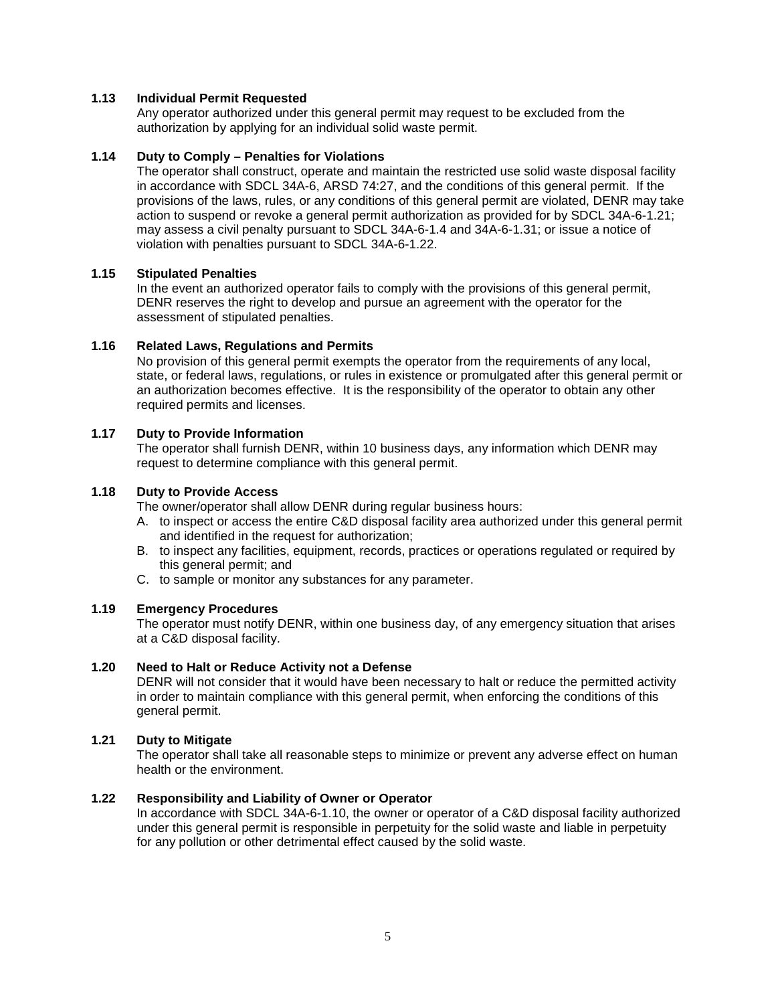## **1.13 Individual Permit Requested**

Any operator authorized under this general permit may request to be excluded from the authorization by applying for an individual solid waste permit.

## **1.14 Duty to Comply – Penalties for Violations**

The operator shall construct, operate and maintain the restricted use solid waste disposal facility in accordance with SDCL 34A-6, ARSD 74:27, and the conditions of this general permit. If the provisions of the laws, rules, or any conditions of this general permit are violated, DENR may take action to suspend or revoke a general permit authorization as provided for by SDCL 34A-6-1.21; may assess a civil penalty pursuant to SDCL 34A-6-1.4 and 34A-6-1.31; or issue a notice of violation with penalties pursuant to SDCL 34A-6-1.22.

## **1.15 Stipulated Penalties**

In the event an authorized operator fails to comply with the provisions of this general permit, DENR reserves the right to develop and pursue an agreement with the operator for the assessment of stipulated penalties.

#### **1.16 Related Laws, Regulations and Permits**

No provision of this general permit exempts the operator from the requirements of any local, state, or federal laws, regulations, or rules in existence or promulgated after this general permit or an authorization becomes effective. It is the responsibility of the operator to obtain any other required permits and licenses.

## **1.17 Duty to Provide Information**

The operator shall furnish DENR, within 10 business days, any information which DENR may request to determine compliance with this general permit.

#### **1.18 Duty to Provide Access**

The owner/operator shall allow DENR during regular business hours:

- A. to inspect or access the entire C&D disposal facility area authorized under this general permit and identified in the request for authorization;
- B. to inspect any facilities, equipment, records, practices or operations regulated or required by this general permit; and
- C. to sample or monitor any substances for any parameter.

#### **1.19 Emergency Procedures**

The operator must notify DENR, within one business day, of any emergency situation that arises at a C&D disposal facility.

#### **1.20 Need to Halt or Reduce Activity not a Defense**

DENR will not consider that it would have been necessary to halt or reduce the permitted activity in order to maintain compliance with this general permit, when enforcing the conditions of this general permit.

#### **1.21 Duty to Mitigate**

The operator shall take all reasonable steps to minimize or prevent any adverse effect on human health or the environment.

#### **1.22 Responsibility and Liability of Owner or Operator**

In accordance with SDCL 34A-6-1.10, the owner or operator of a C&D disposal facility authorized under this general permit is responsible in perpetuity for the solid waste and liable in perpetuity for any pollution or other detrimental effect caused by the solid waste.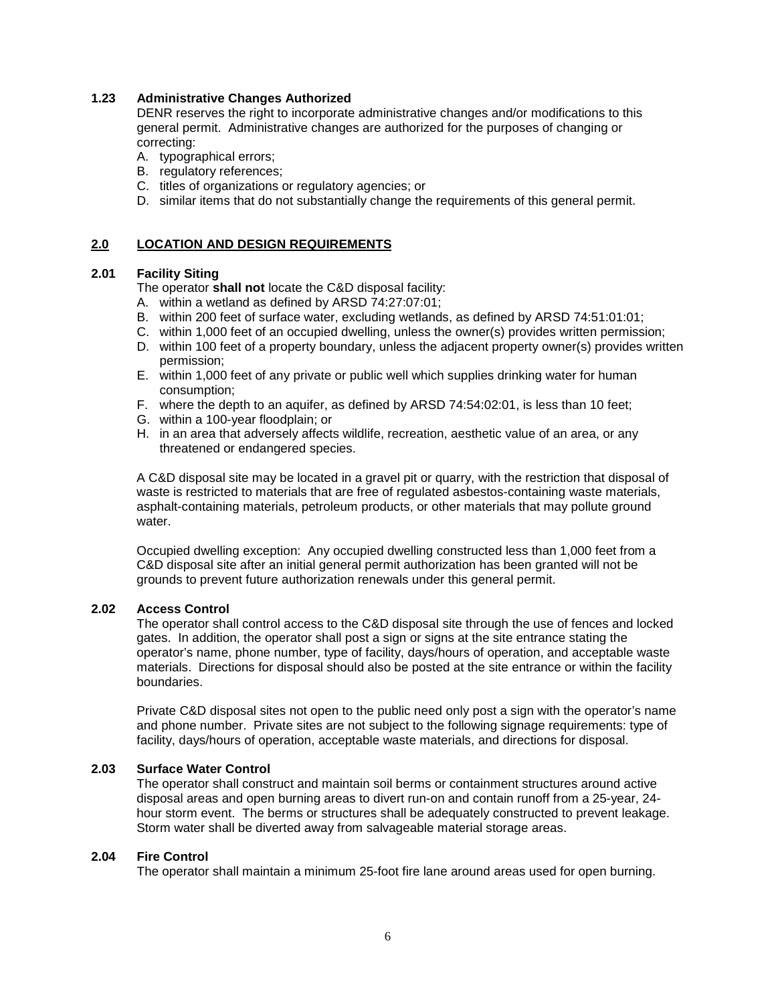## **1.23 Administrative Changes Authorized**

DENR reserves the right to incorporate administrative changes and/or modifications to this general permit. Administrative changes are authorized for the purposes of changing or correcting:

- A. typographical errors;
- B. regulatory references;
- C. titles of organizations or regulatory agencies; or
- D. similar items that do not substantially change the requirements of this general permit.

## **2.0 LOCATION AND DESIGN REQUIREMENTS**

## **2.01 Facility Siting**

The operator **shall not** locate the C&D disposal facility:

- A. within a wetland as defined by ARSD 74:27:07:01;
- B. within 200 feet of surface water, excluding wetlands, as defined by ARSD 74:51:01:01;
- C. within 1,000 feet of an occupied dwelling, unless the owner(s) provides written permission;
- D. within 100 feet of a property boundary, unless the adjacent property owner(s) provides written permission;
- E. within 1,000 feet of any private or public well which supplies drinking water for human consumption;
- F. where the depth to an aquifer, as defined by ARSD 74:54:02:01, is less than 10 feet;
- G. within a 100-year floodplain; or
- H. in an area that adversely affects wildlife, recreation, aesthetic value of an area, or any threatened or endangered species.

A C&D disposal site may be located in a gravel pit or quarry, with the restriction that disposal of waste is restricted to materials that are free of regulated asbestos-containing waste materials, asphalt-containing materials, petroleum products, or other materials that may pollute ground water.

Occupied dwelling exception: Any occupied dwelling constructed less than 1,000 feet from a C&D disposal site after an initial general permit authorization has been granted will not be grounds to prevent future authorization renewals under this general permit.

#### **2.02 Access Control**

The operator shall control access to the C&D disposal site through the use of fences and locked gates. In addition, the operator shall post a sign or signs at the site entrance stating the operator's name, phone number, type of facility, days/hours of operation, and acceptable waste materials. Directions for disposal should also be posted at the site entrance or within the facility boundaries.

Private C&D disposal sites not open to the public need only post a sign with the operator's name and phone number. Private sites are not subject to the following signage requirements: type of facility, days/hours of operation, acceptable waste materials, and directions for disposal.

#### **2.03 Surface Water Control**

The operator shall construct and maintain soil berms or containment structures around active disposal areas and open burning areas to divert run-on and contain runoff from a 25-year, 24 hour storm event. The berms or structures shall be adequately constructed to prevent leakage. Storm water shall be diverted away from salvageable material storage areas.

#### **2.04 Fire Control**

The operator shall maintain a minimum 25-foot fire lane around areas used for open burning.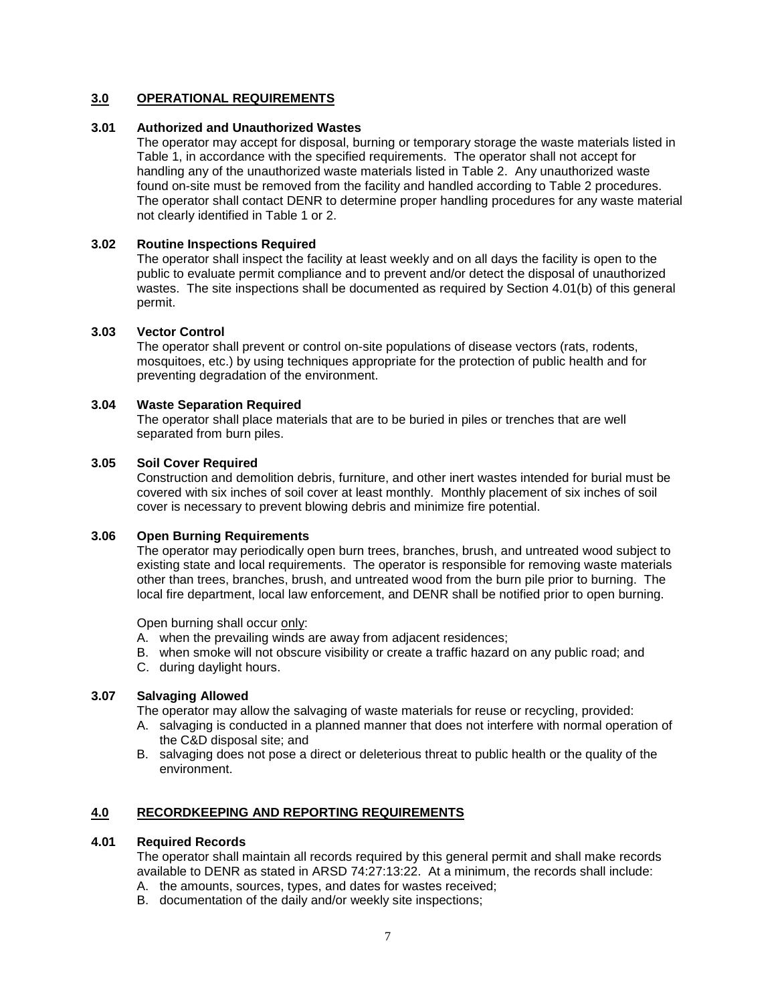# **3.0 OPERATIONAL REQUIREMENTS**

## **3.01 Authorized and Unauthorized Wastes**

The operator may accept for disposal, burning or temporary storage the waste materials listed in Table 1, in accordance with the specified requirements. The operator shall not accept for handling any of the unauthorized waste materials listed in Table 2. Any unauthorized waste found on-site must be removed from the facility and handled according to Table 2 procedures. The operator shall contact DENR to determine proper handling procedures for any waste material not clearly identified in Table 1 or 2.

## **3.02 Routine Inspections Required**

The operator shall inspect the facility at least weekly and on all days the facility is open to the public to evaluate permit compliance and to prevent and/or detect the disposal of unauthorized wastes. The site inspections shall be documented as required by Section 4.01(b) of this general permit.

#### **3.03 Vector Control**

The operator shall prevent or control on-site populations of disease vectors (rats, rodents, mosquitoes, etc.) by using techniques appropriate for the protection of public health and for preventing degradation of the environment.

## **3.04 Waste Separation Required**

The operator shall place materials that are to be buried in piles or trenches that are well separated from burn piles.

#### **3.05 Soil Cover Required**

Construction and demolition debris, furniture, and other inert wastes intended for burial must be covered with six inches of soil cover at least monthly. Monthly placement of six inches of soil cover is necessary to prevent blowing debris and minimize fire potential.

#### **3.06 Open Burning Requirements**

The operator may periodically open burn trees, branches, brush, and untreated wood subject to existing state and local requirements. The operator is responsible for removing waste materials other than trees, branches, brush, and untreated wood from the burn pile prior to burning. The local fire department, local law enforcement, and DENR shall be notified prior to open burning.

Open burning shall occur only:

- A. when the prevailing winds are away from adjacent residences;
- B. when smoke will not obscure visibility or create a traffic hazard on any public road; and
- C. during daylight hours.

#### **3.07 Salvaging Allowed**

The operator may allow the salvaging of waste materials for reuse or recycling, provided:

- A. salvaging is conducted in a planned manner that does not interfere with normal operation of the C&D disposal site; and
- B. salvaging does not pose a direct or deleterious threat to public health or the quality of the environment.

# **4.0 RECORDKEEPING AND REPORTING REQUIREMENTS**

#### **4.01 Required Records**

The operator shall maintain all records required by this general permit and shall make records available to DENR as stated in ARSD 74:27:13:22. At a minimum, the records shall include:

- A. the amounts, sources, types, and dates for wastes received;
- B. documentation of the daily and/or weekly site inspections;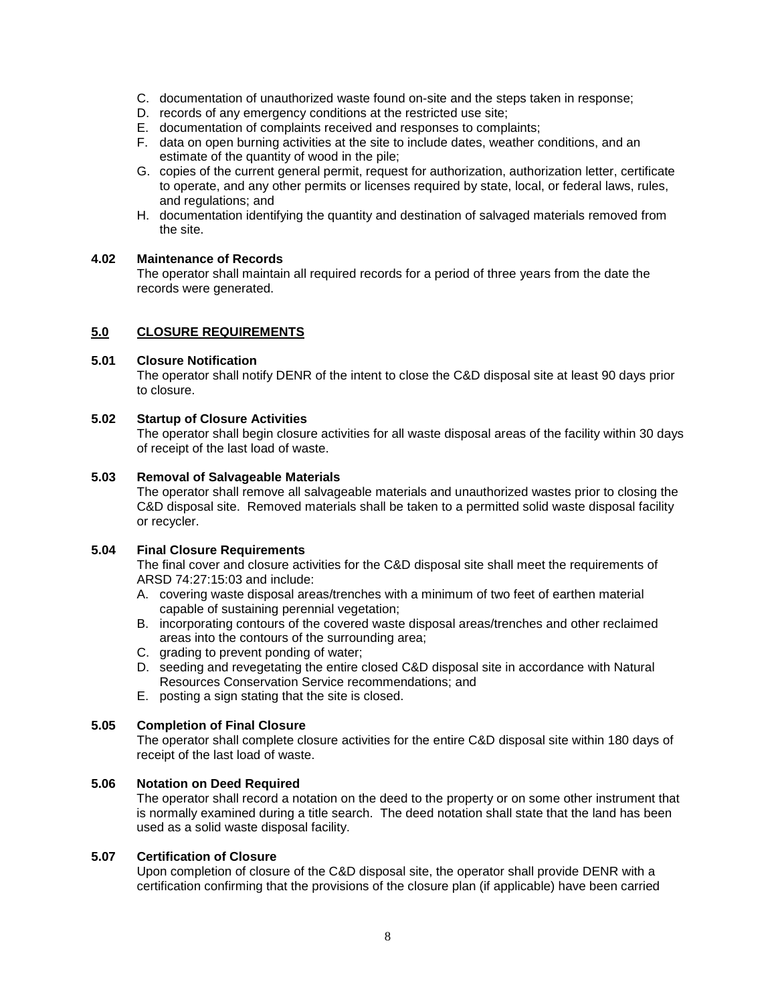- C. documentation of unauthorized waste found on-site and the steps taken in response;
- D. records of any emergency conditions at the restricted use site;
- E. documentation of complaints received and responses to complaints;
- F. data on open burning activities at the site to include dates, weather conditions, and an estimate of the quantity of wood in the pile;
- G. copies of the current general permit, request for authorization, authorization letter, certificate to operate, and any other permits or licenses required by state, local, or federal laws, rules, and regulations; and
- H. documentation identifying the quantity and destination of salvaged materials removed from the site.

## **4.02 Maintenance of Records**

The operator shall maintain all required records for a period of three years from the date the records were generated.

#### **5.0 CLOSURE REQUIREMENTS**

#### **5.01 Closure Notification**

The operator shall notify DENR of the intent to close the C&D disposal site at least 90 days prior to closure.

#### **5.02 Startup of Closure Activities**

The operator shall begin closure activities for all waste disposal areas of the facility within 30 days of receipt of the last load of waste.

#### **5.03 Removal of Salvageable Materials**

The operator shall remove all salvageable materials and unauthorized wastes prior to closing the C&D disposal site. Removed materials shall be taken to a permitted solid waste disposal facility or recycler.

## **5.04 Final Closure Requirements**

The final cover and closure activities for the C&D disposal site shall meet the requirements of ARSD 74:27:15:03 and include:

- A. covering waste disposal areas/trenches with a minimum of two feet of earthen material capable of sustaining perennial vegetation;
- B. incorporating contours of the covered waste disposal areas/trenches and other reclaimed areas into the contours of the surrounding area;
- C. grading to prevent ponding of water:
- D. seeding and revegetating the entire closed C&D disposal site in accordance with Natural Resources Conservation Service recommendations; and
- E. posting a sign stating that the site is closed.

## **5.05 Completion of Final Closure**

The operator shall complete closure activities for the entire C&D disposal site within 180 days of receipt of the last load of waste.

#### **5.06 Notation on Deed Required**

The operator shall record a notation on the deed to the property or on some other instrument that is normally examined during a title search. The deed notation shall state that the land has been used as a solid waste disposal facility.

#### **5.07 Certification of Closure**

Upon completion of closure of the C&D disposal site, the operator shall provide DENR with a certification confirming that the provisions of the closure plan (if applicable) have been carried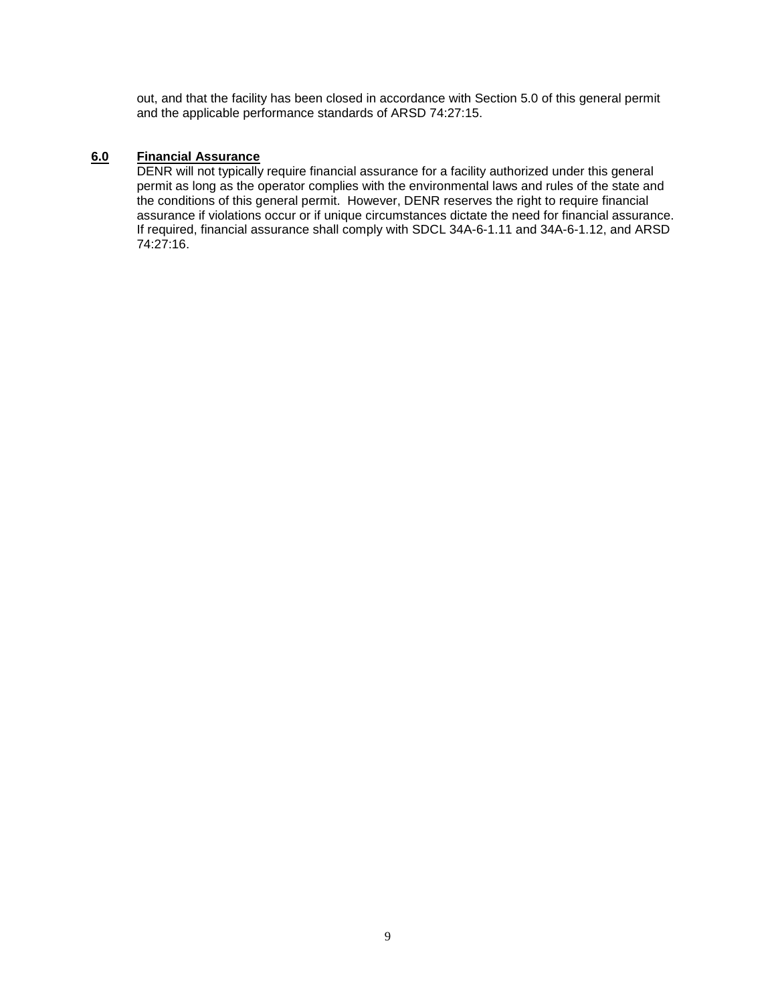out, and that the facility has been closed in accordance with Section 5.0 of this general permit and the applicable performance standards of ARSD 74:27:15.

# **6.0 Financial Assurance**

DENR will not typically require financial assurance for a facility authorized under this general permit as long as the operator complies with the environmental laws and rules of the state and the conditions of this general permit. However, DENR reserves the right to require financial assurance if violations occur or if unique circumstances dictate the need for financial assurance. If required, financial assurance shall comply with SDCL 34A-6-1.11 and 34A-6-1.12, and ARSD 74:27:16.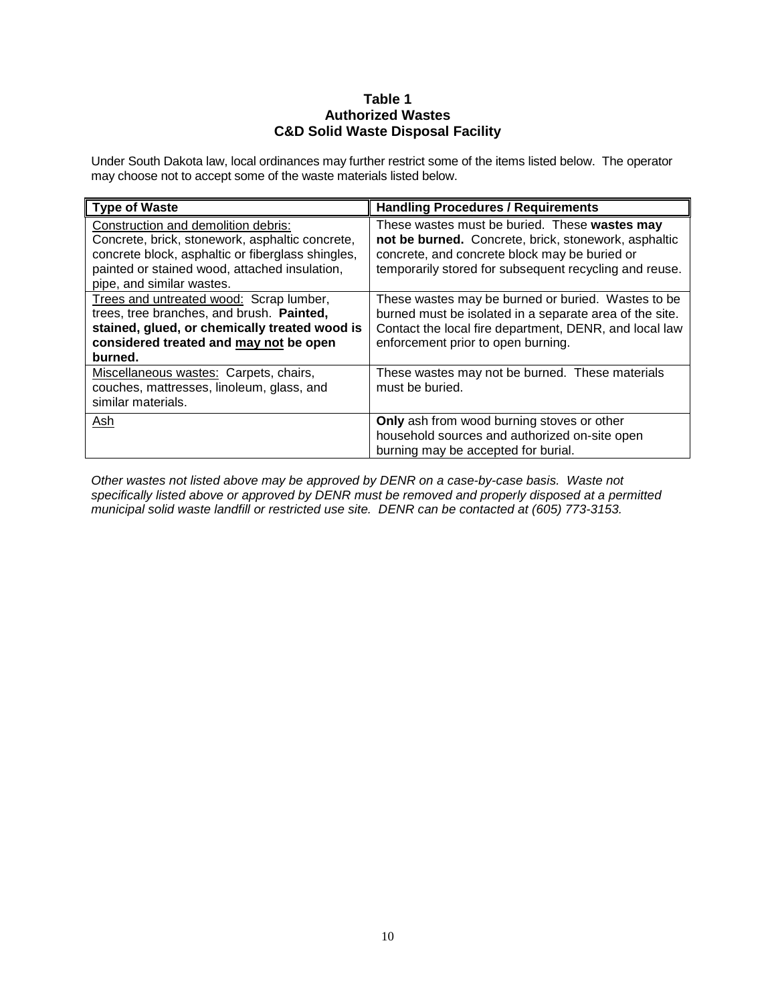# **Table 1 Authorized Wastes C&D Solid Waste Disposal Facility**

Under South Dakota law, local ordinances may further restrict some of the items listed below. The operator may choose not to accept some of the waste materials listed below.

| Type of Waste                                                                                                                                                                                                             | <b>Handling Procedures / Requirements</b>                                                                                                                                                                        |
|---------------------------------------------------------------------------------------------------------------------------------------------------------------------------------------------------------------------------|------------------------------------------------------------------------------------------------------------------------------------------------------------------------------------------------------------------|
| Construction and demolition debris:<br>Concrete, brick, stonework, asphaltic concrete,<br>concrete block, asphaltic or fiberglass shingles,<br>painted or stained wood, attached insulation,<br>pipe, and similar wastes. | These wastes must be buried. These wastes may<br>not be burned. Concrete, brick, stonework, asphaltic<br>concrete, and concrete block may be buried or<br>temporarily stored for subsequent recycling and reuse. |
| Trees and untreated wood: Scrap lumber,<br>trees, tree branches, and brush. Painted,<br>stained, glued, or chemically treated wood is<br>considered treated and may not be open<br>burned.                                | These wastes may be burned or buried. Wastes to be<br>burned must be isolated in a separate area of the site.<br>Contact the local fire department, DENR, and local law<br>enforcement prior to open burning.    |
| Miscellaneous wastes: Carpets, chairs,<br>couches, mattresses, linoleum, glass, and<br>similar materials.                                                                                                                 | These wastes may not be burned. These materials<br>must be buried.                                                                                                                                               |
| Ash                                                                                                                                                                                                                       | Only ash from wood burning stoves or other<br>household sources and authorized on-site open<br>burning may be accepted for burial.                                                                               |

*Other wastes not listed above may be approved by DENR on a case-by-case basis. Waste not specifically listed above or approved by DENR must be removed and properly disposed at a permitted municipal solid waste landfill or restricted use site. DENR can be contacted at (605) 773-3153.*